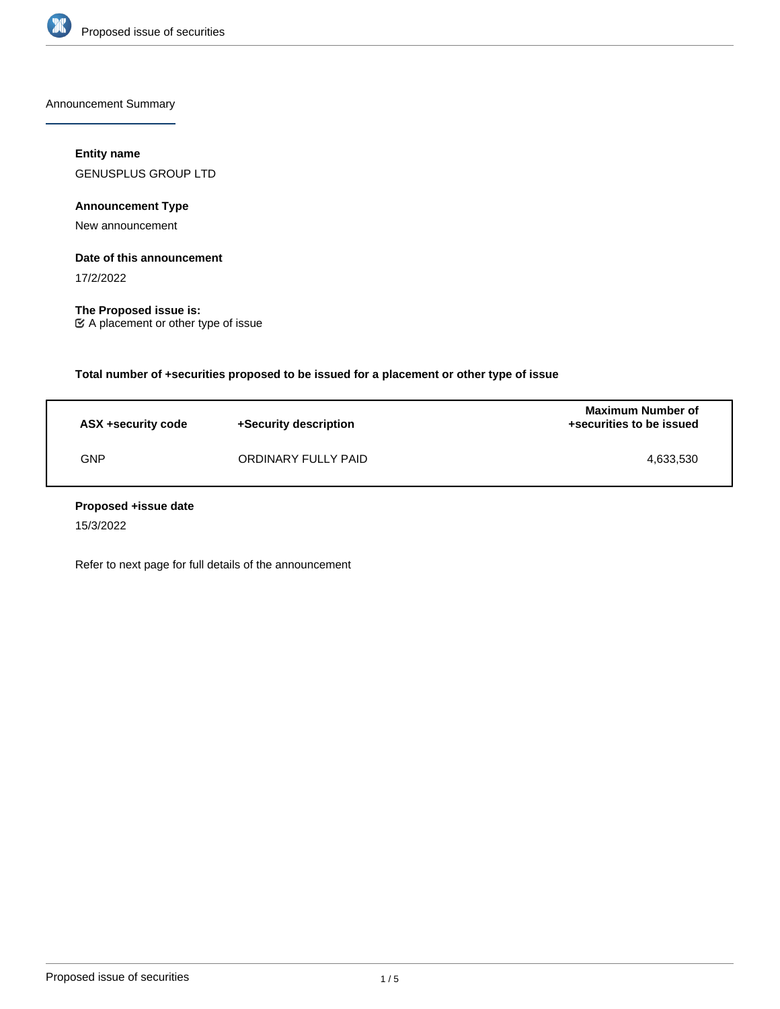

Announcement Summary

# **Entity name**

GENUSPLUS GROUP LTD

**Announcement Type**

New announcement

# **Date of this announcement**

17/2/2022

**The Proposed issue is:** A placement or other type of issue

**Total number of +securities proposed to be issued for a placement or other type of issue**

| ASX +security code | +Security description | <b>Maximum Number of</b><br>+securities to be issued |
|--------------------|-----------------------|------------------------------------------------------|
| GNP                | ORDINARY FULLY PAID   | 4,633,530                                            |

# **Proposed +issue date**

15/3/2022

Refer to next page for full details of the announcement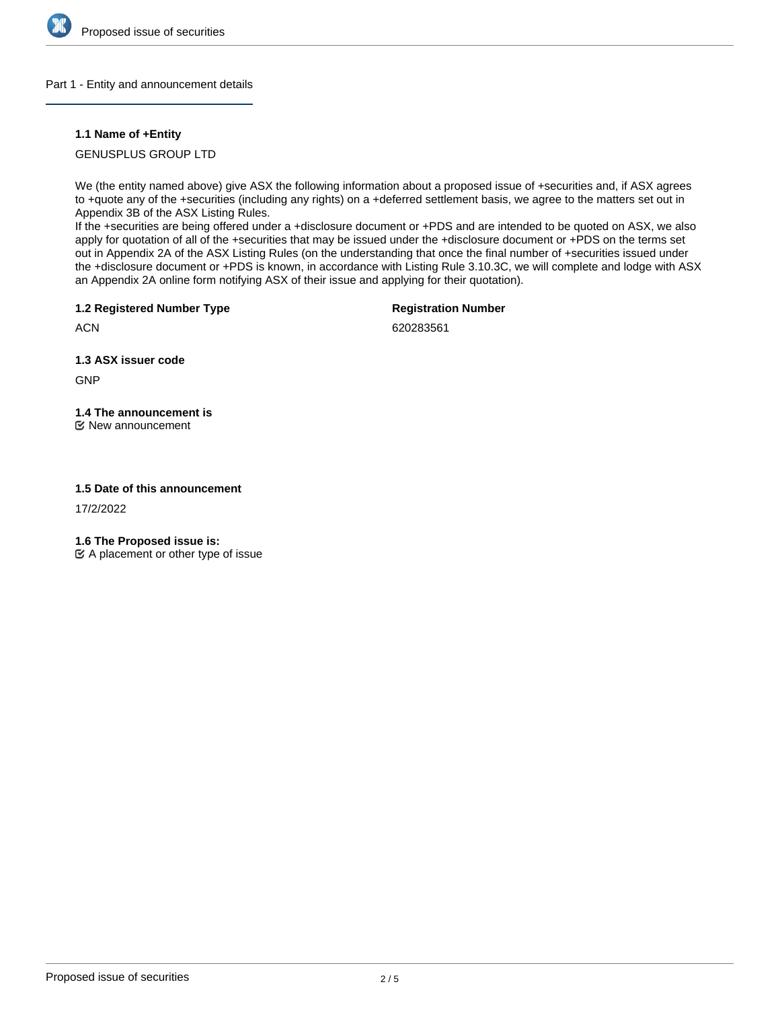

# Part 1 - Entity and announcement details

# **1.1 Name of +Entity**

GENUSPLUS GROUP LTD

We (the entity named above) give ASX the following information about a proposed issue of +securities and, if ASX agrees to +quote any of the +securities (including any rights) on a +deferred settlement basis, we agree to the matters set out in Appendix 3B of the ASX Listing Rules.

If the +securities are being offered under a +disclosure document or +PDS and are intended to be quoted on ASX, we also apply for quotation of all of the +securities that may be issued under the +disclosure document or +PDS on the terms set out in Appendix 2A of the ASX Listing Rules (on the understanding that once the final number of +securities issued under the +disclosure document or +PDS is known, in accordance with Listing Rule 3.10.3C, we will complete and lodge with ASX an Appendix 2A online form notifying ASX of their issue and applying for their quotation).

**1.2 Registered Number Type**

**Registration Number**

**ACN** 

620283561

**1.3 ASX issuer code**

GNP

# **1.4 The announcement is**

New announcement

# **1.5 Date of this announcement**

17/2/2022

**1.6 The Proposed issue is:**

 $\mathfrak{C}$  A placement or other type of issue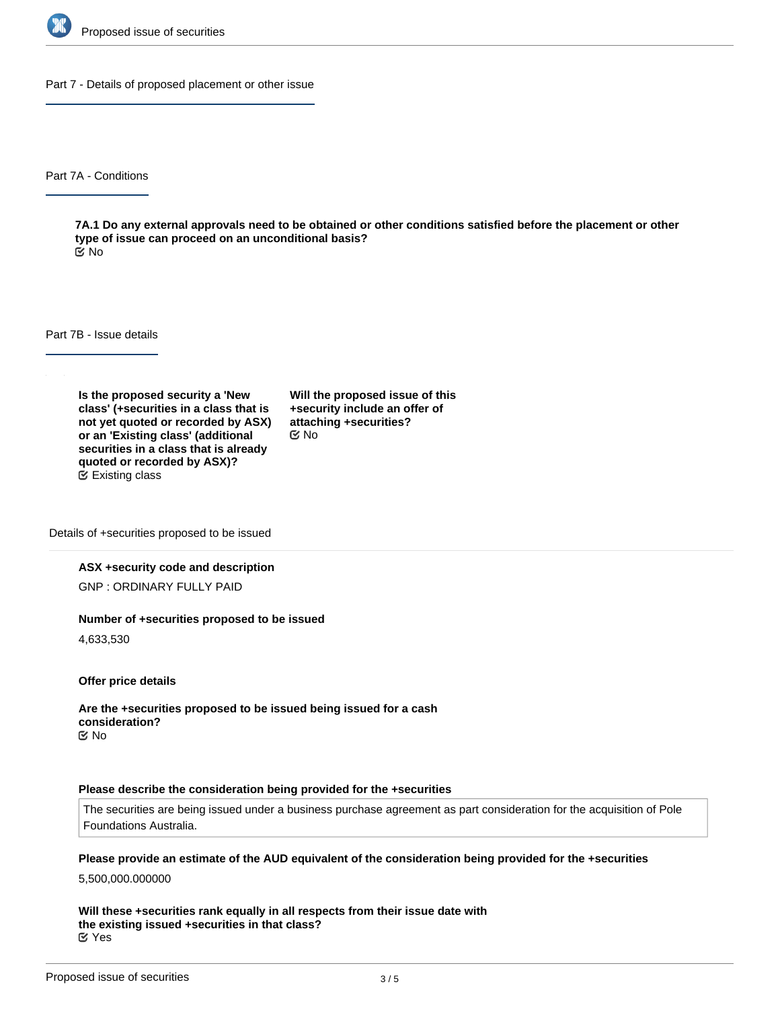

Part 7 - Details of proposed placement or other issue

Part 7A - Conditions

**7A.1 Do any external approvals need to be obtained or other conditions satisfied before the placement or other type of issue can proceed on an unconditional basis?** No

Part 7B - Issue details

**Is the proposed security a 'New class' (+securities in a class that is not yet quoted or recorded by ASX) or an 'Existing class' (additional securities in a class that is already quoted or recorded by ASX)?** Existing class

**Will the proposed issue of this +security include an offer of attaching +securities?** No

Details of +securities proposed to be issued

### **ASX +security code and description**

GNP : ORDINARY FULLY PAID

#### **Number of +securities proposed to be issued**

4,633,530

**Offer price details**

**Are the +securities proposed to be issued being issued for a cash consideration?** No

#### **Please describe the consideration being provided for the +securities**

The securities are being issued under a business purchase agreement as part consideration for the acquisition of Pole Foundations Australia.

#### **Please provide an estimate of the AUD equivalent of the consideration being provided for the +securities**

5,500,000.000000

**Will these +securities rank equally in all respects from their issue date with the existing issued +securities in that class?** Yes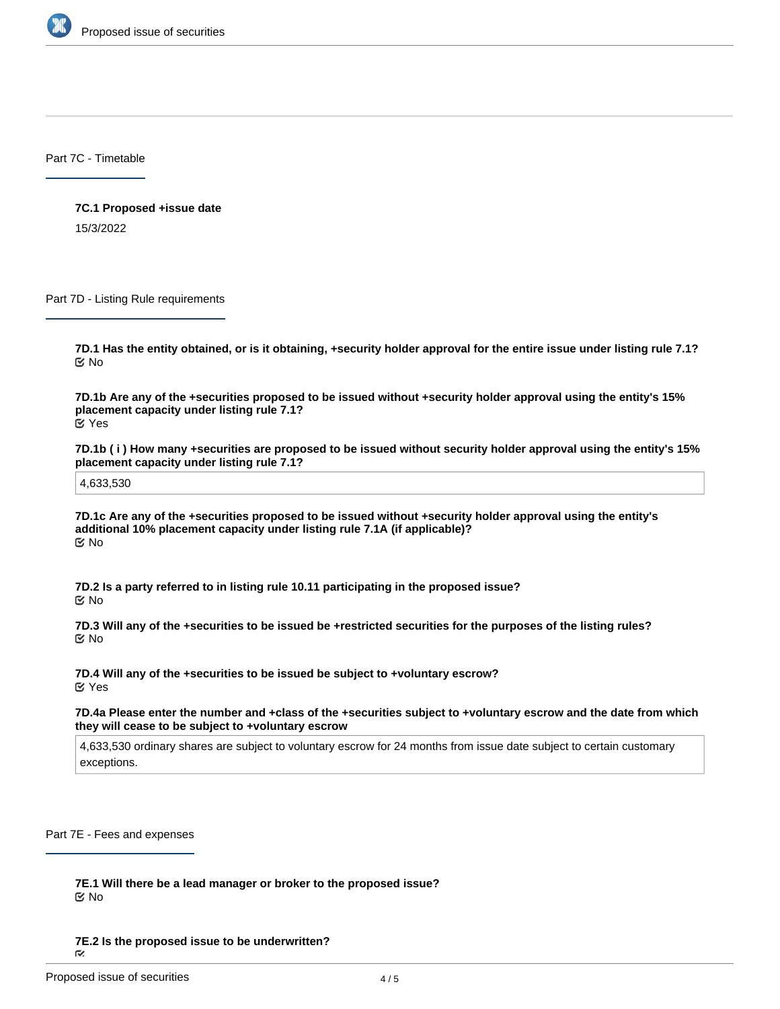

Part 7C - Timetable

**7C.1 Proposed +issue date** 15/3/2022

Part 7D - Listing Rule requirements

**7D.1 Has the entity obtained, or is it obtaining, +security holder approval for the entire issue under listing rule 7.1?** No

**7D.1b Are any of the +securities proposed to be issued without +security holder approval using the entity's 15% placement capacity under listing rule 7.1?** Yes

**7D.1b ( i ) How many +securities are proposed to be issued without security holder approval using the entity's 15% placement capacity under listing rule 7.1?**

4,633,530

**7D.1c Are any of the +securities proposed to be issued without +security holder approval using the entity's additional 10% placement capacity under listing rule 7.1A (if applicable)?** No

**7D.2 Is a party referred to in listing rule 10.11 participating in the proposed issue?** No

**7D.3 Will any of the +securities to be issued be +restricted securities for the purposes of the listing rules?** No

**7D.4 Will any of the +securities to be issued be subject to +voluntary escrow?** Yes

**7D.4a Please enter the number and +class of the +securities subject to +voluntary escrow and the date from which they will cease to be subject to +voluntary escrow**

4,633,530 ordinary shares are subject to voluntary escrow for 24 months from issue date subject to certain customary exceptions.

Part 7E - Fees and expenses

**7E.1 Will there be a lead manager or broker to the proposed issue?** No

**7E.2 Is the proposed issue to be underwritten?**

 $\tilde{\sim}$